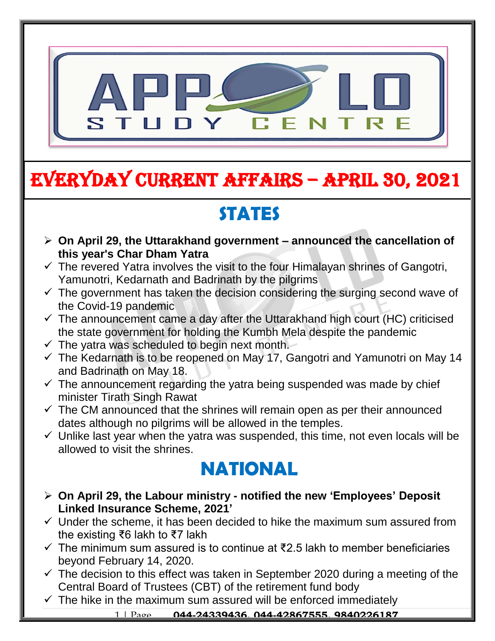

# EVERYDAY CURRENT AFFAIRS – APRIL 30, 2021

## **STATES**

- **On April 29, the Uttarakhand government – announced the cancellation of this year's Char Dham Yatra**  $\ddot{\phantom{0}}$
- $\checkmark$  The revered Yatra involves the visit to the four Himalayan shrines of Gangotri, Yamunotri, Kedarnath and Badrinath by the pilgrims
- $\checkmark$  The government has taken the decision considering the surging second wave of the Covid-19 pandemic
- $\checkmark$  The announcement came a day after the Uttarakhand high court (HC) criticised the state government for holding the Kumbh Mela despite the pandemic
- $\checkmark$  The yatra was scheduled to begin next month.

-

- $\checkmark$  The Kedarnath is to be reopened on May 17, Gangotri and Yamunotri on May 14 and Badrinath on May 18.
- $\checkmark$  The announcement regarding the yatra being suspended was made by chief minister Tirath Singh Rawat
- $\checkmark$  The CM announced that the shrines will remain open as per their announced dates although no pilgrims will be allowed in the temples.
- $\checkmark$  Unlike last year when the yatra was suspended, this time, not even locals will be allowed to visit the shrines.

### **NATIONAL**

- **On April 29, the Labour ministry - notified the new 'Employees' Deposit Linked Insurance Scheme, 2021'**
- $\checkmark$  Under the scheme, it has been decided to hike the maximum sum assured from the existing ₹6 lakh to ₹7 lakh
- $\checkmark$  The minimum sum assured is to continue at ₹2.5 lakh to member beneficiaries beyond February 14, 2020.
- $\checkmark$  The decision to this effect was taken in September 2020 during a meeting of the Central Board of Trustees (CBT) of the retirement fund body
- $\checkmark$  The hike in the maximum sum assured will be enforced immediately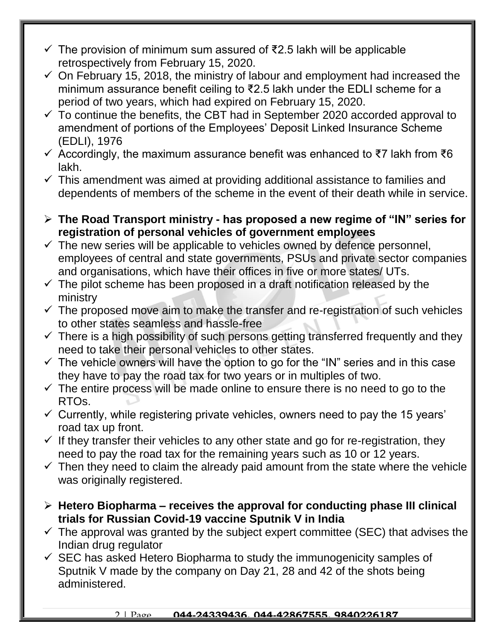- $\checkmark$  The provision of minimum sum assured of ₹2.5 lakh will be applicable retrospectively from February 15, 2020.
- $\checkmark$  On February 15, 2018, the ministry of labour and employment had increased the minimum assurance benefit ceiling to ₹2.5 lakh under the EDLI scheme for a period of two years, which had expired on February 15, 2020.
- $\checkmark$  To continue the benefits, the CBT had in September 2020 accorded approval to amendment of portions of the Employees' Deposit Linked Insurance Scheme (EDLI), 1976
- $\checkmark$  Accordingly, the maximum assurance benefit was enhanced to ₹7 lakh from ₹6 lakh.
- $\checkmark$  This amendment was aimed at providing additional assistance to families and dependents of members of the scheme in the event of their death while in service.
- **The Road Transport ministry - has proposed a new regime of "IN" series for registration of personal vehicles of government employees**
- $\checkmark$  The new series will be applicable to vehicles owned by defence personnel, employees of central and state governments, PSUs and private sector companies and organisations, which have their offices in five or more states/ UTs.
- $\checkmark$  The pilot scheme has been proposed in a draft notification released by the ministry
- $\checkmark$  The proposed move aim to make the transfer and re-registration of such vehicles to other states seamless and hassle-free
- $\checkmark$  There is a high possibility of such persons getting transferred frequently and they need to take their personal vehicles to other states.
- $\checkmark$  The vehicle owners will have the option to go for the "IN" series and in this case they have to pay the road tax for two years or in multiples of two.
- $\checkmark$  The entire process will be made online to ensure there is no need to go to the RTOs.
- $\checkmark$  Currently, while registering private vehicles, owners need to pay the 15 years' road tax up front.
- $\checkmark$  If they transfer their vehicles to any other state and go for re-registration, they need to pay the road tax for the remaining years such as 10 or 12 years.
- $\checkmark$  Then they need to claim the already paid amount from the state where the vehicle was originally registered.
- **Hetero Biopharma – receives the approval for conducting phase III clinical trials for Russian Covid-19 vaccine Sputnik V in India**
- $\checkmark$  The approval was granted by the subject expert committee (SEC) that advises the Indian drug regulator
- $\checkmark$  SEC has asked Hetero Biopharma to study the immunogenicity samples of Sputnik V made by the company on Day 21, 28 and 42 of the shots being administered.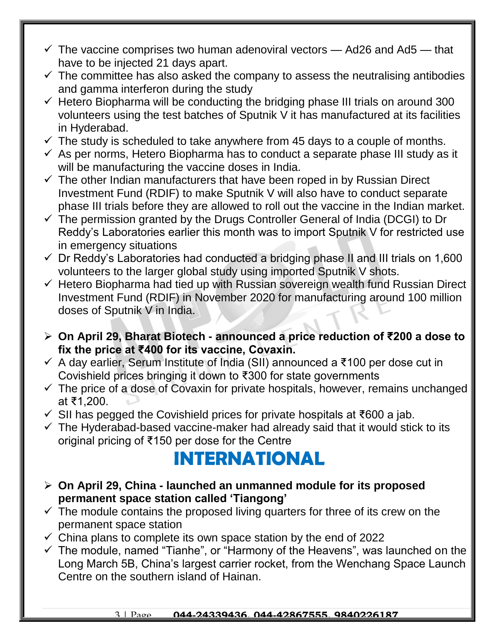- $\checkmark$  The vaccine comprises two human adenoviral vectors  $-$  Ad26 and Ad5  $-$  that have to be injected 21 days apart.
- $\checkmark$  The committee has also asked the company to assess the neutralising antibodies and gamma interferon during the study
- $\checkmark$  Hetero Biopharma will be conducting the bridging phase III trials on around 300 volunteers using the test batches of Sputnik V it has manufactured at its facilities in Hyderabad.
- $\checkmark$  The study is scheduled to take anywhere from 45 days to a couple of months.
- $\checkmark$  As per norms, Hetero Biopharma has to conduct a separate phase III study as it will be manufacturing the vaccine doses in India.
- $\checkmark$  The other Indian manufacturers that have been roped in by Russian Direct Investment Fund (RDIF) to make Sputnik V will also have to conduct separate phase III trials before they are allowed to roll out the vaccine in the Indian market.
- $\checkmark$  The permission granted by the Drugs Controller General of India (DCGI) to Dr Reddy's Laboratories earlier this month was to import Sputnik V for restricted use in emergency situations
- $\checkmark$  Dr Reddy's Laboratories had conducted a bridging phase II and III trials on 1,600 volunteers to the larger global study using imported Sputnik V shots.
- $\checkmark$  Hetero Biopharma had tied up with Russian sovereign wealth fund Russian Direct Investment Fund (RDIF) in November 2020 for manufacturing around 100 million doses of Sputnik V in India.
- **On April 29, Bharat Biotech - announced a price reduction of ₹200 a dose to fix the price at ₹400 for its vaccine, Covaxin.**
- A day earlier, Serum Institute of India (SII) announced a ₹100 per dose cut in Covishield prices bringing it down to ₹300 for state governments
- $\checkmark$  The price of a dose of Covaxin for private hospitals, however, remains unchanged at ₹1,200.
- $\checkmark$  SII has pegged the Covishield prices for private hospitals at ₹600 a jab.
- $\checkmark$  The Hyderabad-based vaccine-maker had already said that it would stick to its original pricing of ₹150 per dose for the Centre

## **INTERNATIONAL**

- **On April 29, China - launched an unmanned module for its proposed permanent space station called 'Tiangong'**
- $\checkmark$  The module contains the proposed living quarters for three of its crew on the permanent space station
- $\checkmark$  China plans to complete its own space station by the end of 2022
- $\checkmark$  The module, named "Tianhe", or "Harmony of the Heavens", was launched on the Long March 5B, China's largest carrier rocket, from the Wenchang Space Launch Centre on the southern island of Hainan.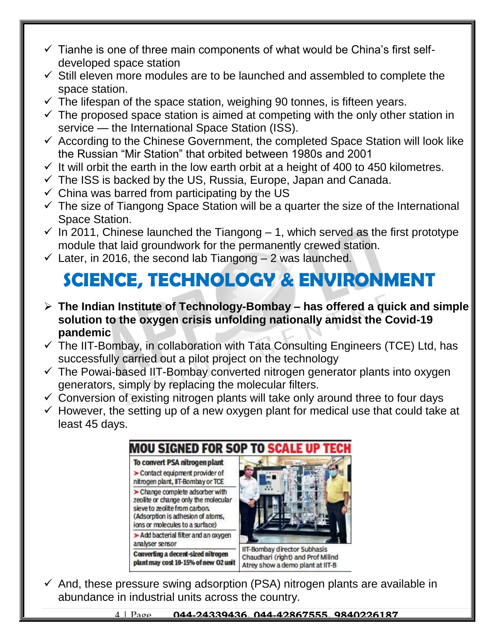- $\checkmark$  Tianhe is one of three main components of what would be China's first selfdeveloped space station
- $\checkmark$  Still eleven more modules are to be launched and assembled to complete the space station.
- $\checkmark$  The lifespan of the space station, weighing 90 tonnes, is fifteen years.
- $\checkmark$  The proposed space station is aimed at competing with the only other station in service — the International Space Station (ISS).
- $\checkmark$  According to the Chinese Government, the completed Space Station will look like the Russian "Mir Station" that orbited between 1980s and 2001
- $\checkmark$  It will orbit the earth in the low earth orbit at a height of 400 to 450 kilometres.
- $\checkmark$  The ISS is backed by the US, Russia, Europe, Japan and Canada.
- $\checkmark$  China was barred from participating by the US
- $\checkmark$  The size of Tiangong Space Station will be a quarter the size of the International Space Station.
- $\checkmark$  In 2011, Chinese launched the Tiangong 1, which served as the first prototype module that laid groundwork for the permanently crewed station.
- $\checkmark$  Later, in 2016, the second lab Tiangong 2 was launched.

# **SCIENCE, TECHNOLOGY & ENVIRONMENT**

- **The Indian Institute of Technology-Bombay – has offered a quick and simple solution to the oxygen crisis unfolding nationally amidst the Covid-19 pandemic**
- $\checkmark$  The IIT-Bombay, in collaboration with Tata Consulting Engineers (TCE) Ltd, has successfully carried out a pilot project on the technology
- $\checkmark$  The Powai-based IIT-Bombay converted nitrogen generator plants into oxygen generators, simply by replacing the molecular filters.
- $\checkmark$  Conversion of existing nitrogen plants will take only around three to four days
- $\checkmark$  However, the setting up of a new oxygen plant for medical use that could take at least 45 days.



 $\checkmark$  And, these pressure swing adsorption (PSA) nitrogen plants are available in abundance in industrial units across the country.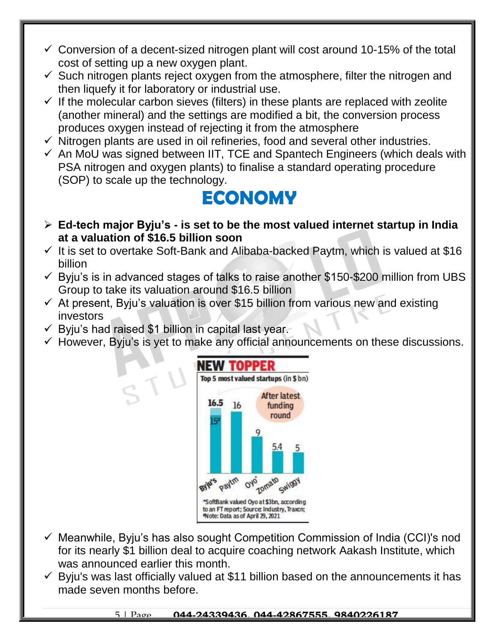- $\checkmark$  Conversion of a decent-sized nitrogen plant will cost around 10-15% of the total cost of setting up a new oxygen plant.
- $\checkmark$  Such nitrogen plants reject oxygen from the atmosphere, filter the nitrogen and then liquefy it for laboratory or industrial use.
- $\checkmark$  If the molecular carbon sieves (filters) in these plants are replaced with zeolite (another mineral) and the settings are modified a bit, the conversion process produces oxygen instead of rejecting it from the atmosphere
- $\checkmark$  Nitrogen plants are used in oil refineries, food and several other industries.
- $\checkmark$  An MoU was signed between IIT, TCE and Spantech Engineers (which deals with PSA nitrogen and oxygen plants) to finalise a standard operating procedure (SOP) to scale up the technology.

### **ECONOMY**

- **Ed-tech major Byju's - is set to be the most valued internet startup in India at a valuation of \$16.5 billion soon**
- $\checkmark$  It is set to overtake Soft-Bank and Alibaba-backed Paytm, which is valued at \$16 billion
- $\checkmark$  Byju's is in advanced stages of talks to raise another \$150-\$200 million from UBS Group to take its valuation around \$16.5 billion
- $\checkmark$  At present, Byju's valuation is over \$15 billion from various new and existing investors
- $\checkmark$  Byju's had raised \$1 billion in capital last year.
- $\checkmark$  However, Byju's is yet to make any official announcements on these discussions.



- $\checkmark$  Meanwhile, Byju's has also sought Competition Commission of India (CCI)'s nod for its nearly \$1 billion deal to acquire coaching network Aakash Institute, which was announced earlier this month.
- $\checkmark$  Byju's was last officially valued at \$11 billion based on the announcements it has made seven months before.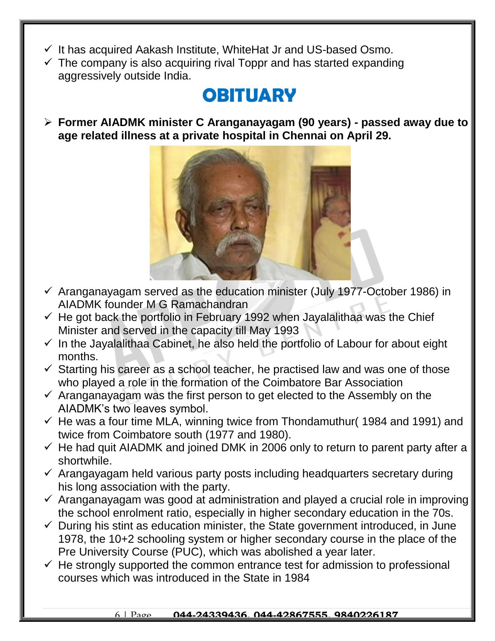- $\checkmark$  It has acquired Aakash Institute, WhiteHat Jr and US-based Osmo.
- $\checkmark$  The company is also acquiring rival Toppr and has started expanding aggressively outside India.

### **OBITUARY**

 **Former AIADMK minister C Aranganayagam (90 years) - passed away due to age related illness at a private hospital in Chennai on April 29.**



- $\checkmark$  Aranganayagam served as the education minister (July 1977-October 1986) in AIADMK founder M G Ramachandran
- $\checkmark$  He got back the portfolio in February 1992 when Jayalalithaa was the Chief Minister and served in the capacity till May 1993
- $\checkmark$  In the Jayalalithaa Cabinet, he also held the portfolio of Labour for about eight months.
- $\checkmark$  Starting his career as a school teacher, he practised law and was one of those who played a role in the formation of the Coimbatore Bar Association
- $\checkmark$  Aranganayagam was the first person to get elected to the Assembly on the AIADMK's two leaves symbol.
- $\checkmark$  He was a four time MLA, winning twice from Thondamuthur (1984 and 1991) and twice from Coimbatore south (1977 and 1980).
- $\checkmark$  He had quit AIADMK and joined DMK in 2006 only to return to parent party after a shortwhile.
- $\checkmark$  Arangayagam held various party posts including headquarters secretary during his long association with the party.
- $\checkmark$  Aranganayagam was good at administration and played a crucial role in improving the school enrolment ratio, especially in higher secondary education in the 70s.
- $\checkmark$  During his stint as education minister, the State government introduced, in June 1978, the 10+2 schooling system or higher secondary course in the place of the Pre University Course (PUC), which was abolished a year later.
- $\checkmark$  He strongly supported the common entrance test for admission to professional courses which was introduced in the State in 1984